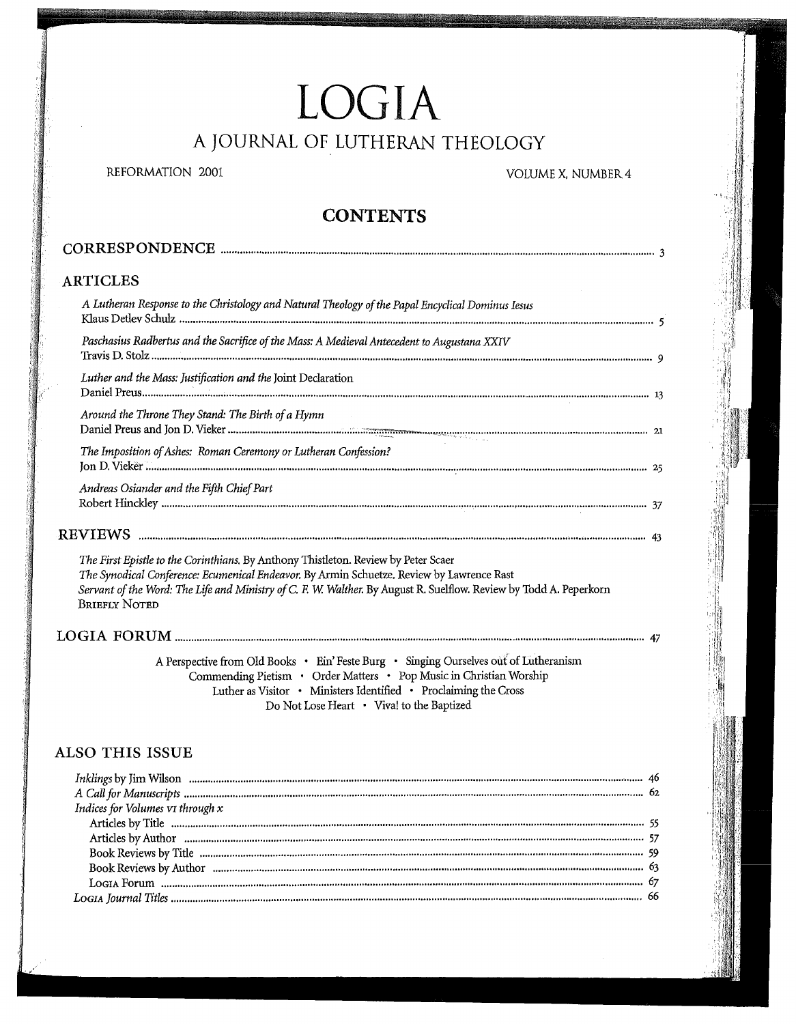# LOGIA A JOURNAL OF LUTHERAN THEOLOGY

REFORMATION 2001

#### **VOLUME X. NUMBER 4**

# **CONTENTS**

| <b>ARTICLES</b>                                                                                                                                                                                                                                                                                                               |  |
|-------------------------------------------------------------------------------------------------------------------------------------------------------------------------------------------------------------------------------------------------------------------------------------------------------------------------------|--|
| A Lutheran Response to the Christology and Natural Theology of the Papal Encyclical Dominus Iesus                                                                                                                                                                                                                             |  |
| Paschasius Radbertus and the Sacrifice of the Mass: A Medieval Antecedent to Augustana XXIV                                                                                                                                                                                                                                   |  |
| Luther and the Mass: Justification and the Joint Declaration                                                                                                                                                                                                                                                                  |  |
| Around the Throne They Stand: The Birth of a Hymn                                                                                                                                                                                                                                                                             |  |
| The Imposition of Ashes: Roman Ceremony or Lutheran Confession?                                                                                                                                                                                                                                                               |  |
| Andreas Osiander and the Fifth Chief Part                                                                                                                                                                                                                                                                                     |  |
|                                                                                                                                                                                                                                                                                                                               |  |
| The First Epistle to the Corinthians. By Anthony Thistleton. Review by Peter Scaer<br>The Synodical Conference: Ecumenical Endeavor. By Armin Schuetze. Review by Lawrence Rast<br>Servant of the Word: The Life and Ministry of C. F. W. Walther. By August R. Suelflow. Review by Todd A. Peperkorn<br><b>BRIEFLY NOTED</b> |  |
|                                                                                                                                                                                                                                                                                                                               |  |
| A Perspective from Old Books • Ein' Feste Burg • Singing Ourselves out of Lutheranism<br>Commending Pietism • Order Matters • Pop Music in Christian Worship<br>Luther as Visitor • Ministers Identified • Proclaiming the Cross<br>Do Not Lose Heart · Viva! to the Baptized                                                 |  |

### ALSO THIS ISSUE

| Indices for Volumes v1 through x |  |
|----------------------------------|--|
|                                  |  |
|                                  |  |
|                                  |  |
|                                  |  |
|                                  |  |
|                                  |  |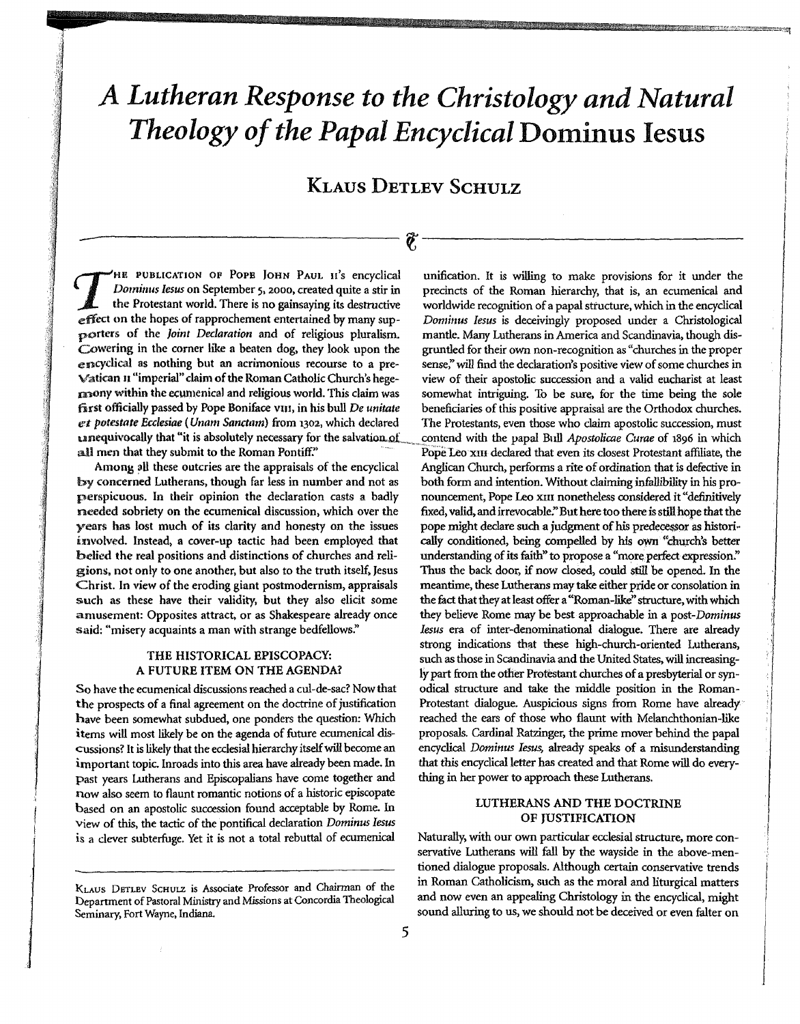# *A Lutheran Response* to *the Christology and Natural Theology of the Papal Encyclical* Dominus Iesus

# KLAUS DETLEV SCHULZ

 $q \rightarrow q$ 

THE PUBLICATION OF POPE JOHN PAUL 11's encyclical unification. It is willing to make provisions for it under the Dominus Iesus on September 5, 2000, created quite a stir in precincts of the Roman hierarchy, that is, an ecu effect on the hopes of rapprochement entertained by many sup- *Dominus Iesus* is deceivingly proposed under a Christological porters of the *Joint Declaration* and of religious pluralism. mantle. Many Lutherans in America and Scandinavia, though dis-Cowering in the corner like a beaten dog, they look upon the gruntled for their own non-recognition as "churches in the proper encyclical as nothing but an acrimonious recourse to a pre-<br>encyclical as nothing but an acrimo Vatican II "imperial" claim of the Roman Catholic Church's hege- view of their apostolic succession and a valid eucharist at least  $\mu$  and and religious world. This claim was somewhat intriguing. To be sure, for the time being the sole 6rst officially passed by Pope Boniface VlU, in his bull *De unitate* beneficiaries of this positive appraisal are the Orthodox churches. ext potestate Ecclesiae (Unam Sanctam) from 1302, which declared The Protestants, even those who claim apostolic succession, must unequivocally that "it is absolutely necessary for the salvation of contend with the papal Bull *Apostolicae Curae* of 1896 in which

by concerned Lutherans, though far less in number and not as both form and intention. Without claiming infallibility in his properspicuous. In their opinion the declaration casts a badly nouncement, Pope Leo XXII nonetheless considered it "definitively needed sobriety on the ecumenical discussion, which over the fixed, valid,and irrevocable." But here too there is stili hope that the years has lost much of its clarity and honesty on the issues pope might declare such a judgment of his predecessor as historiinvolved. Instead, a cover-up tactic had been employed that cally conditioned, being compelled by his own "church's better belied the real positions and distinctions of churches and reli- understanding of its faith" to propose a "more perfect expression." gions. not only to one another, but also to the truth itself, Jesus Thus the back door, if now dosed, could still be opened. In the Christ. In view of the eroding giant postmodernism, appraisals meantime, these Lutherans may take either pride or consolation in such as these have their validity. but they also elicit some the fact that they at least offer a "Roman-like" structure, with which .ilnlUSement: Opposites attract, or as Shakespeare already once they believe Rome may be best approachable in a *post-Dominus* 

#### THE HISTORICAL EPISCOPACY: A FUTURE ITEM ON THE AGENDA?

So have the ecumenical discussions reached a cul-de-sac? Now that the prospects of a final agreement on the doctrine of justification have been somewhat subdued, one ponders the question: Which items will most likely be on the agenda of future ecumenical discussions? It is likely that the ecdesial hierarchy itself will become an important topic. Inroads into this area have already been made. In past years Lutherans and Episcopalians have come together and now also seem to flaunt romantic notions of a historic episcopate based on an apostolic succession found acceptable by Rome. In View of this, the tactic of the pontifical declaration *Dominus Iesus*  is a clever subterfuge. Yet it is not a total rebuttal of ecumenical

*Dominus Iesus* on September 5, 2000, created quite a stir in precincts of the Roman hierarchy, that is, an ecumenical and the Protestant world. There is no gainsaying its destructive worldwide recognition of a papal struc worldwide recognition of a papal structure, which in the encyclical sense," will find the declaration's positive view of some churches in all men that they submit to the Roman Pontiff."<br>Among all these outcries are the appraisals of the encyclical Anglican Church, performs a rite of ordination that is defective in Anglican Church, performs a rite of ordination that is defective in said: "misery acquaints a man with strange bedfellows." *lesus* era of inter-denominational dialogue. There are already strong indications that these high-church-oriented Lutherans, such as those in Scandinavia and the United States, will increasingly part from the other Protestant churches of a presbyterial or synodical structure and take the middle position in the Roman-Protestant dialogue. Auspicious signs from Rome have already reached the ears of those who flaunt with Melanchthonian-like proposals. Cardinal Ratzinger, the prime mover behind the papal encyclical *Dominus Jesus,* already speaks of a misunderstanding that this encyclical letter has created and that Rome will do everything in her power to approach these Lutherans.

#### LUTHERANS AND THE DOCTRINE OF JUSTIFICATION

Naturally, with our own particular ecdesial structure, more conservative Lutherans will fall by the wayside in the above-mentioned dialogue proposals. Although certain conservative trends in Roman Catholicism, such as the moral and liturgical matters and now even an appealing Christology in the encyclical, might sound alluring to us, we should not be deceived or even falter on

KLAUS DETLEV SCHULZ is Associate Professor and Chairman of the Department of Pastoral Ministry and Missions at Concordia Theological Seminary, Fort Wayne, Indiana.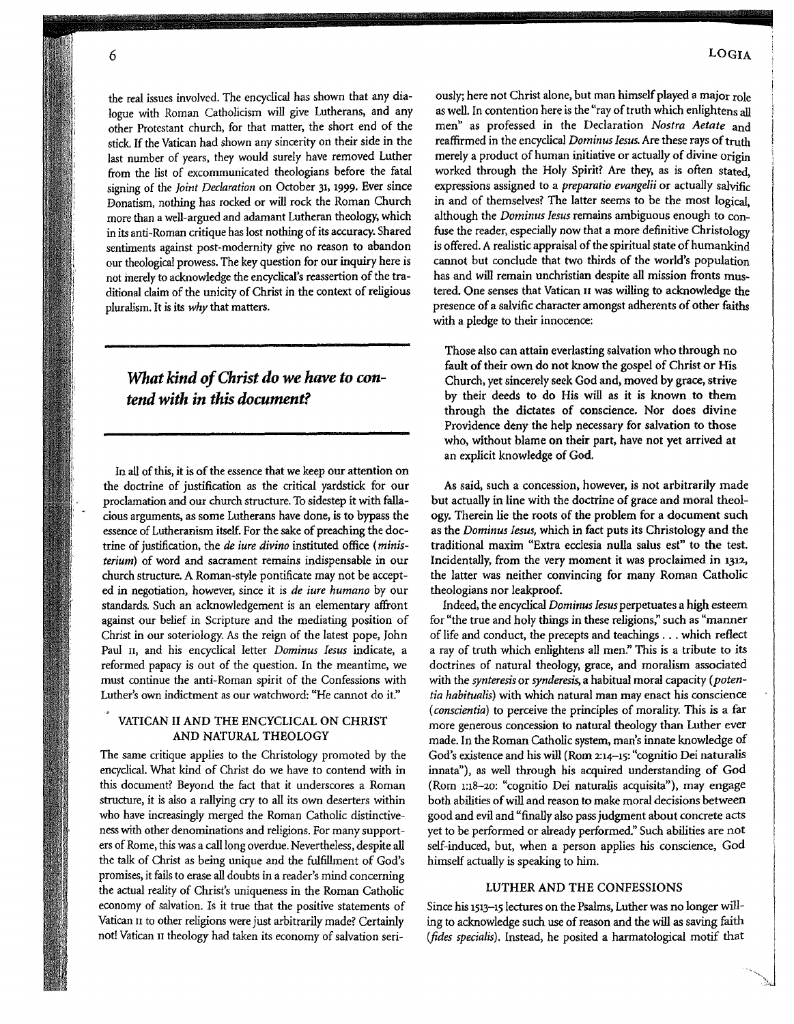the real issues involved. The encyclical has shown that any dialogue with Roman Catholicism will give Lutherans, and any other Protestant church, for that matter, the short end of the stick. If the Vatican had shown any sincerity on their side in the last number of years, they would surely have removed Luther from the list of excommunicated theologians before the fatal signing of the *Joint Declaration* on October 31, 1999. Ever since Donatism, nothing has rocked or will rock the Roman Church more than a well-argued and adamant Lutheran theology, which in its anti-Roman critique has lost nothing of its accuracy. Shared sentiments against post-modernity give no reason to abandon our theological prowess. The key question for our inquiry here is not merely to acknowledge the encyclical's reassertion of the traditional claim of the unicity of Christ in the context of religious pluralism. It is its *why* that matters.

### *What* **kind** *of Christ do we have to contend with in this document?*

In all of this, it is of the essence that we keep our attention on the doctrine of justification as the critical yardstick for our proclamation and our church structure. To sidestep it with fallacious arguments, as some Lutherans have done, is to bypass the essence of Lutheranism itself. For the sake of preaching the doctrine of justification, the de *iure divino* instituted office *(ministerium)* of word and sacrament remains indispensable in our church structure. A Roman-style pontificate may not be accepted in negotiation, however, since it is *de iure humano* by our standards. Such an acknowledgement is an elementary affront against our belief in Scripture and the mediating position of Christ in our soteriology. As the reign of the latest pope, John Paul II, and his encyclical letter *Dominus Iesus* indicate, a reformed papacy is out of the question. In the meantime, we must continue the anti-Roman spirit of the Confessions with Luther's own indictment as our watchword: "He cannot do it."

#### VATICAN II AND THE ENCYCLICAL ON CHRIST AND NATURAL THEOLOGY

The same critique applies to the Christology promoted by the encyclical. What kind of Christ do we have to contend with in this document? Beyond the fact that it underscores a Roman structure, it is also a rallying cry to all its own deserters within who have increasingly merged the Roman Catholic distinctiveness with other denominations and religions. For many supporters of Rome, this was a call long overdue. Nevertheless, despite all the talk of Christ as being unique and the fulfillment of God's promises, it fails to erase all doubts in a reader's mind concerning the actual reality of Christ's uniqueness in the Roman Catholic economy of salvation. Is it true that the positive statements of Vatican II to other religions were just arbitrarily made? Certainly not! Vatican II theology had taken its economy of salvation seri-

ously; here not Christ alone, but man himself played a major role as well. In contention here is the "ray of truth which enlightens all men" as professed in the Declaration *Nostra Aetate* and reaffirmed in the encyclical *Dominus Jesus.* Are these rays of truth merely a product of human initiative or actually of divine origin worked through the Holy Spirit? Are they, as is often stated, expressions assigned to a *preparatio evangelii* or actually salvific in and of themselves? The latter seems to be the most logical, although the *Dominus Jesus* remains ambiguous enough to confuse the reader, especially now that a more definitive Christology is offered. A realistic appraisal of the spiritual state of humankind cannot but conclude that two thirds of the world's population has and will remain unchristian despite all mission fronts mustered. One senses that Vatican II was willing to acknowledge the presence of a salvific character amongst adherents of other faiths with a pledge to their innocence:

Those also can attain everlasting salvation who through no fault of their own do not know the gospel of Christ or His Church, yet sincerely seek God and, moved by grace, strive by their deeds to do His will as it is known to them through the dictates of conscience. Nor does divine Providence deny the help necessary for salvation to those who, without blame on their part, have not yet arrived at an explicit knowledge of God.

As said, such a concession, however, is not arbitrarily made but actually in line with the doctrine of grace and moral theology. Therein lie the roots of the problem for a document such as the *Dominus Jesus,* which in fact puts its Christology and the traditional maxim "Extra ecclesia nulla salus est" to the test. Incidentally, from the very moment it was proclaimed in 1312, the latter was neither convincing for many Roman Catholic theologians nor leakproof.

Indeed, the encyclical *Domirlus Iesus* perpetuates a high esteem for "the true and holy things in these religions," such as "manner of life and conduct, the precepts and teachings ... which reflect a ray of truth which enlightens all men." This is a tribute to its doctrines of natural theology, grace, and moralism associated with the *synteresis* or *synderesis,* a habitual moral capacity *(potentia habitualis)* with which natural man may enact his conscience *(conscientia)* to perceive the principles of morality. This is a far more generous concession to natural theology than Luther ever made. In the Roman Catholic system, man's innate knowledge of God's existence and his will (Rom 2:14-15: "cognitio Dei naturalis innata"), as well through his acquired understanding of God (Rom 1:18-20: "cognitio Dei naturalis acquisita"), may engage both abilities of will and reason to make moral decisions between good and evil and "finally also pass judgment about concrete acts yet to be performed or already performed." Such abilities are not self-induced, but, when a person applies his conscience, God himself actually is speaking to him.

#### LUTHER AND THE CONFESSIONS

Since his 1513-15 lectures on the Psalms, Luther was no longer willing to acknowledge such use of reason and the will as saving faith *(fides specialis).* Instead, he posited a harmatological motif that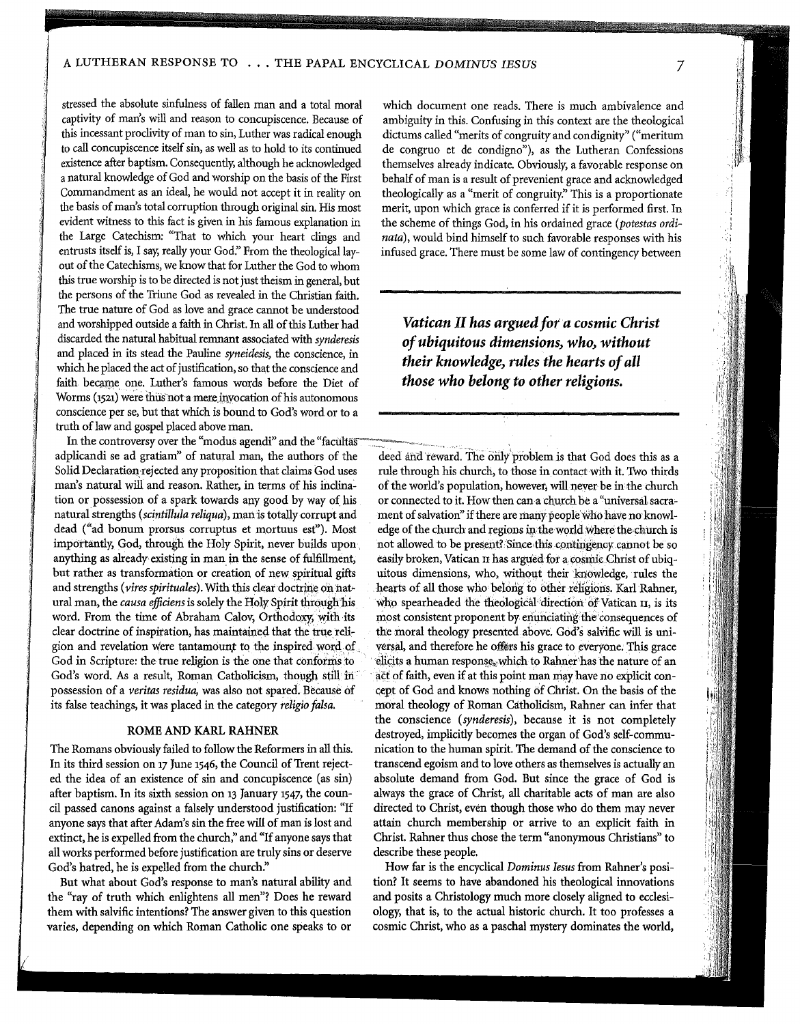stressed the absolute sinfulness of fallen man and a total moral captivity of man's will and reason to concupiscence. Because of this incessant proclivity of man to sin, Luther was radical enough to call concupiscence itself sin, as well as to hold to its continued existence after baptism. Consequently, although he acknowledged a natural knowledge of God and worship on the basis of the First Commandment as an ideal, he would not accept it in reality on the basis of man's total corruption through original sin. His most evident witness to this fact is given in his famous explanation in the Large Catechism: "That to which your heart clings and entrusts itself is, I say, really your God." From the theological layout of the Catechisms, we know that for Luther the God to whom this true worship is to be directed is not just theism in general, but the persons of the Triune God as revealed in the Christian faith. The true nature of God as love and grace cannot be understood and worshipped outside a faith in Christ. In all of this Luther had discarded the natural habitual remnant associated with *synderesis* and placed in its stead the Pauline *syneidesis,* the conscience, in which he placed the act of justification, so that the conscience and faith became one. Luther's famous words before the Diet of Worms (1521) were thus not a mere invocation of his autonomous conscience per se, but that which is bound to God's word or to a truth of law and gospel placed above man.

In the controversy over the "modus agendi" and the "facultas-<br>adplicandi se ad gratiam" of natural man, the authors of the Solid Declaration rejected any proposition that claims God uses rule through his church, to those in contact with it. Two thirds man's natural will and reason. Rather, in terms of his inclina-of the world's population, how tion or possession of a spark towards any good by way of his or connected to it. How then can a church be a "universal sacranatural strengths *(scintillula reliqua),* man is totally corrupt and ment of salvation" if there are manypeopleWho have no knowldead ("ad bonum prorsus corruptus et mortuus est"). Most edge of the church and regions in the world where the church is importantly, God, through the Holy Spirit, never builds upon not allowed to be present? Since this contingency cannot be so anything as already existing in man in the sense of fulfillment, easily broken, Vatican II has argued for a cosmic Christ of ubiq-<br>but rather as transformation or creation of new spiritual gifts uitous dimensions, who, wit and strengths (vires spirituales). With this clear doctrine on nat- hearts of all those who belong to other religions. Karl Rahner, ural man, the *causa efficiens* is solely the Holy Spirit through his who spearheaded the theological direction of Vatican II, is its word. From the time of Abraham Calov, Orthodoxy, with its most consistent proponent by e clear doctrine of inspiration, has maintamed that the trqereli- the moral theology presented above. God's salvific will is unigion and revelation were tantamount to the inspired word of versal, and therefore he offers his grace to everyone. This grace God in Scripture: the true religion is the one that conforms to elicits a human response, which to Rahner has the nature of an God's word. As a result, Roman Catholicism, though still in act of faith, even if at this point man may have no explicit conpossession of a *veritas residua*, was also not spared. Because of cept of God and knows nothing of Christ. On the basis of the its false teachings, it was placed in the category *religio falsa.* moral theology of Roman Catholicism, Rahner can infer that

#### ROME AND KARL RAHNER

The Romans obviously failed to follow the Reformers in all this. In its third session on 17 June 1546, the Council of Trent rejected the idea of an existence of sin and concupiscence (as sin) after baptism. In its sixth session on 13 January 1547, the council passed canons against a falsely understood justification: ''If anyone says that after Adam's sin the free will of man is lost and extinct, he is expelled from the church," and "If anyone says that all works performed before justification are truly sins or deserve God's hatred, he is expelled from the church."

But what about God's response to man's natural ability and the "ray of truth which enlightens all men"? Does he reward them with salvific intentions? The answer given to this question varies, depending on which Roman Catholic one speaks to or

which document one reads. There is much ambivalence and ambiguity in this. Confusing in this context are the theological dictums called "merits of congruity and con dignity" ("meritum de congruo et de condigno"), as the Lutheran Confessions themselves already indicate. Obviously, a favorable response on behalf of man is a result of prevenient grace and acknowledged theologically as a "merit of congruity." This is a proportionate merit, upon which grace is conferred if it is performed first. In the scheme of things God, in his ordained grace *(potestas ordinata),* would bind himself to such favorable responses with his infused grace. There must be some law of contingency between

*Vatican* II *has argued for a cosmic Christ of ubiquitous dimensions, who, without their knowledge, rules the hearts of all those who belong to other religions.* 

deed and reward. The only problem is that God does this as a of the world's population, however, will never be in the church uitous dimensions, who, without their knowledge, rules the most consistent proponent by enunciating the consequences of the conscience *(synderesis),* because it is not completely destroyed, implicitly becomes the organ of God's self-communication to the human spirit. The demand of the conscience to transcend egoism and to love others as themselves is actually an absolute demand from God. But since the grace of God is always the grace of Christ, all charitable acts of man are also directed to Christ, even though those who do them may never attain church membership or arrive to an explicit faith in Christ. Rahner thus chose the term "anonymous Christians" to describe these people.

How far is the encyclical *Dominus Iesus* from Rahner's position? It seems to have abandoned his theological innovations and posits a Christology much more closely aligned to ecclesiology, that is, to the actual historic church. It too professes a cosmic Christ, who as a paschal mystery dominates the world,